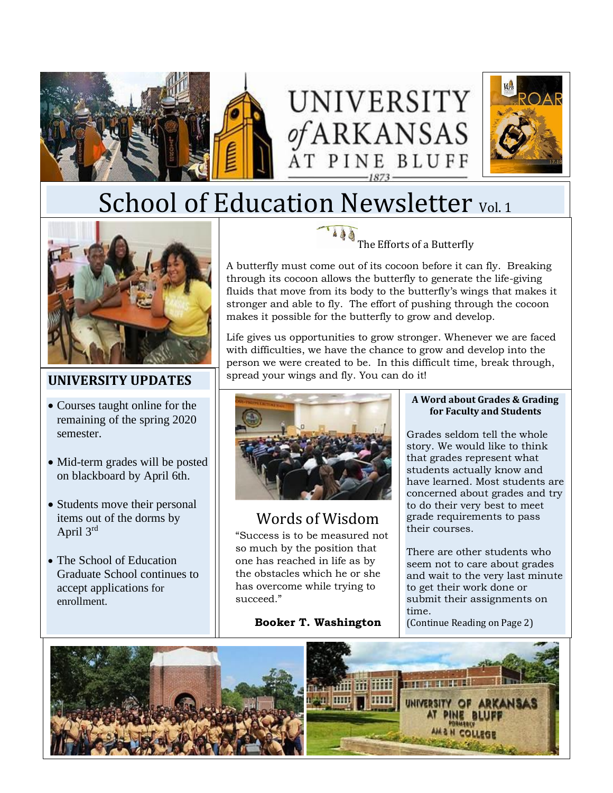





# School of Education Newsletter Vol. 1



## **UNIVERSITY UPDATES**

- Courses taught online for the remaining of the spring 2020 semester.
- Mid-term grades will be posted on blackboard by April 6th.
- Students move their personal items out of the dorms by April 3rd
- The School of Education Graduate School continues to accept applications for enrollment.

The Efforts of a Butterfly

A butterfly must come out of its cocoon before it can fly. Breaking through its cocoon allows the butterfly to generate the life-giving fluids that move from its body to the butterfly's wings that makes it stronger and able to fly. The effort of pushing through the cocoon makes it possible for the butterfly to grow and develop.

Life gives us opportunities to grow stronger. Whenever we are faced with difficulties, we have the chance to grow and develop into the person we were created to be. In this difficult time, break through, spread your wings and fly. You can do it!



# Words of Wisdom

"Success is to be measured not so much by the position that one has reached in life as by the [obstacles](https://www.learningliftoff.com/5-ways-successful-people-overcome-major-obstacles/) [which he or she](https://www.learningliftoff.com/5-ways-successful-people-overcome-major-obstacles/)  [has overcome](https://www.learningliftoff.com/5-ways-successful-people-overcome-major-obstacles/) while trying to succeed."

**Booker T. Washington**

#### **A Word about Grades & Grading for Faculty and Students**

Grades seldom tell the whole story. We would like to think that grades represent what students actually know and have learned. Most students are concerned about grades and try to do their very best to meet grade requirements to pass their courses.

There are other students who seem not to care about grades and wait to the very last minute to get their work done or submit their assignments on time.

(Continue Reading on Page 2)

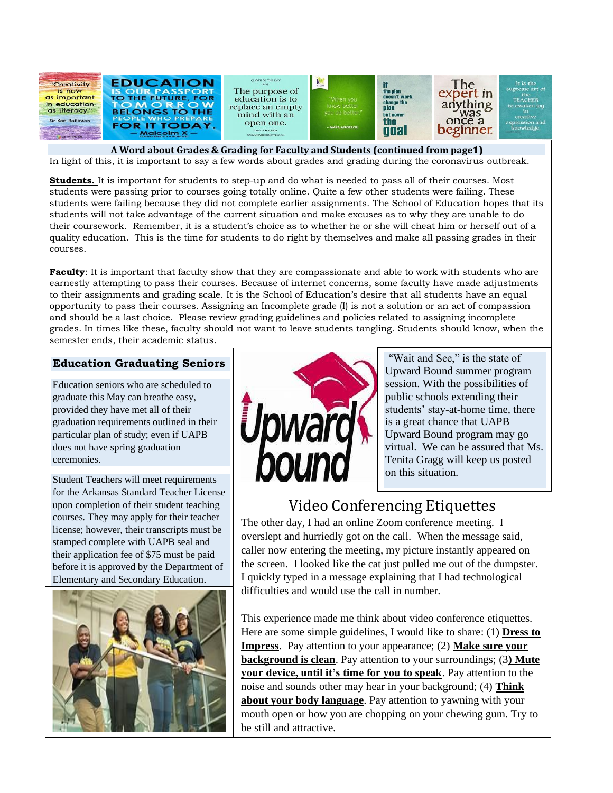

**A Word about Grades & Grading for Faculty and Students (continued from page1)** In light of this, it is important to say a few words about grades and grading during the coronavirus outbreak.

**Students.** It is important for students to step-up and do what is needed to pass all of their courses. Most students were passing prior to courses going totally online. Quite a few other students were failing. These students were failing because they did not complete earlier assignments. The School of Education hopes that its students will not take advantage of the current situation and make excuses as to why they are unable to do their coursework. Remember, it is a student's choice as to whether he or she will cheat him or herself out of a quality education. This is the time for students to do right by themselves and make all passing grades in their courses.

**Faculty**: It is important that faculty show that they are compassionate and able to work with students who are earnestly attempting to pass their courses. Because of internet concerns, some faculty have made adjustments to their assignments and grading scale. It is the School of Education's desire that all students have an equal opportunity to pass their courses. Assigning an Incomplete grade (I) is not a solution or an act of compassion and should be a last choice. Please review grading guidelines and policies related to assigning incomplete grades. In times like these, faculty should not want to leave students tangling. Students should know, when the semester ends, their academic status.

#### **Education Graduating Seniors**

Education seniors who are scheduled to graduate this May can breathe easy, provided they have met all of their graduation requirements outlined in their particular plan of study; even if UAPB does not have spring graduation ceremonies.

Student Teachers will meet requirements for the Arkansas Standard Teacher License upon completion of their student teaching courses. They may apply for their teacher license; however, their transcripts must be stamped complete with UAPB seal and their application fee of \$75 must be paid before it is approved by the Department of Elementary and Secondary Education.





"Wait and See," is the state of Upward Bound summer program session. With the possibilities of public schools extending their students' stay-at-home time, there is a great chance that UAPB Upward Bound program may go virtual. We can be assured that Ms. Tenita Gragg will keep us posted on this situation.

# Video Conferencing Etiquettes

The other day, I had an online Zoom conference meeting. I overslept and hurriedly got on the call. When the message said, caller now entering the meeting, my picture instantly appeared on the screen. I looked like the cat just pulled me out of the dumpster. I quickly typed in a message explaining that I had technological difficulties and would use the call in number.

This experience made me think about video conference etiquettes. Here are some simple guidelines, I would like to share: (1) **Dress to Impress**. Pay attention to your appearance; (2) **Make sure your background is clean**. Pay attention to your surroundings; (3**) Mute your device, until it's time for you to speak**. Pay attention to the noise and sounds other may hear in your background; (4) **Think about your body language**. Pay attention to yawning with your mouth open or how you are chopping on your chewing gum. Try to be still and attractive.